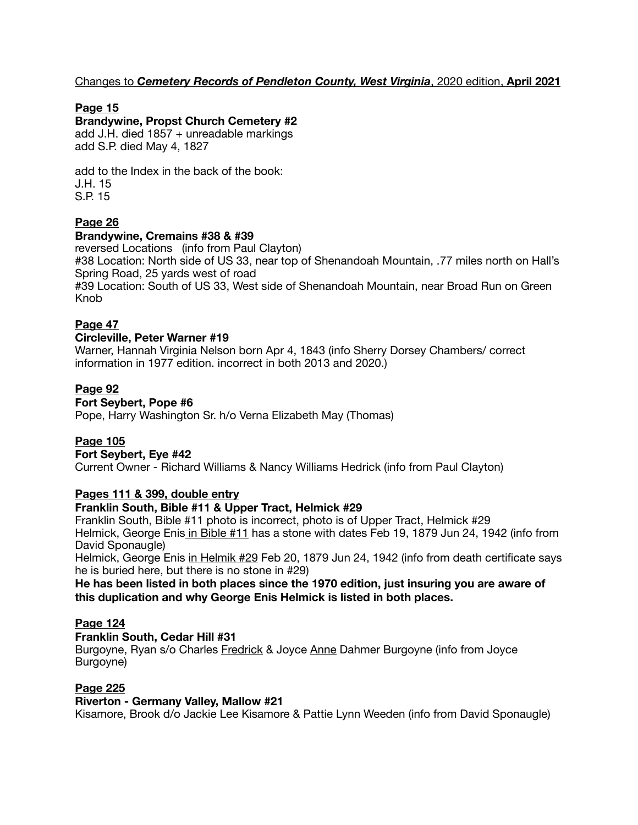# Changes to *Cemetery Records of Pendleton County, West Virginia*, 2020 edition, **April 2021**

# **Page 15**

## **Brandywine, Propst Church Cemetery #2**

add J.H. died 1857 + unreadable markings add S.P. died May 4, 1827

add to the Index in the back of the book: J.H. 15 S.P. 15

# **Page 26**

## **Brandywine, Cremains #38 & #39**

reversed Locations (info from Paul Clayton) #38 Location: North side of US 33, near top of Shenandoah Mountain, .77 miles north on Hall's Spring Road, 25 yards west of road #39 Location: South of US 33, West side of Shenandoah Mountain, near Broad Run on Green Knob

# **Page 47**

## **Circleville, Peter Warner #19**

Warner, Hannah Virginia Nelson born Apr 4, 1843 (info Sherry Dorsey Chambers/ correct information in 1977 edition. incorrect in both 2013 and 2020.)

# **Page 92**

# **Fort Seybert, Pope #6**

Pope, Harry Washington Sr. h/o Verna Elizabeth May (Thomas)

# **Page 105**

# **Fort Seybert, Eye #42**

Current Owner - Richard Williams & Nancy Williams Hedrick (info from Paul Clayton)

# **Pages 111 & 399, double entry**

## **Franklin South, Bible #11 & Upper Tract, Helmick #29**

Franklin South, Bible #11 photo is incorrect, photo is of Upper Tract, Helmick #29 Helmick, George Enis in Bible #11 has a stone with dates Feb 19, 1879 Jun 24, 1942 (info from David Sponaugle)

Helmick, George Enis in Helmik #29 Feb 20, 1879 Jun 24, 1942 (info from death certificate says he is buried here, but there is no stone in #29)

## **He has been listed in both places since the 1970 edition, just insuring you are aware of this duplication and why George Enis Helmick is listed in both places.**

## **Page 124**

## **Franklin South, Cedar Hill #31**

Burgoyne, Ryan s/o Charles Fredrick & Joyce Anne Dahmer Burgoyne (info from Joyce Burgoyne)

# **Page 225**

## **Riverton - Germany Valley, Mallow #21**

Kisamore, Brook d/o Jackie Lee Kisamore & Pattie Lynn Weeden (info from David Sponaugle)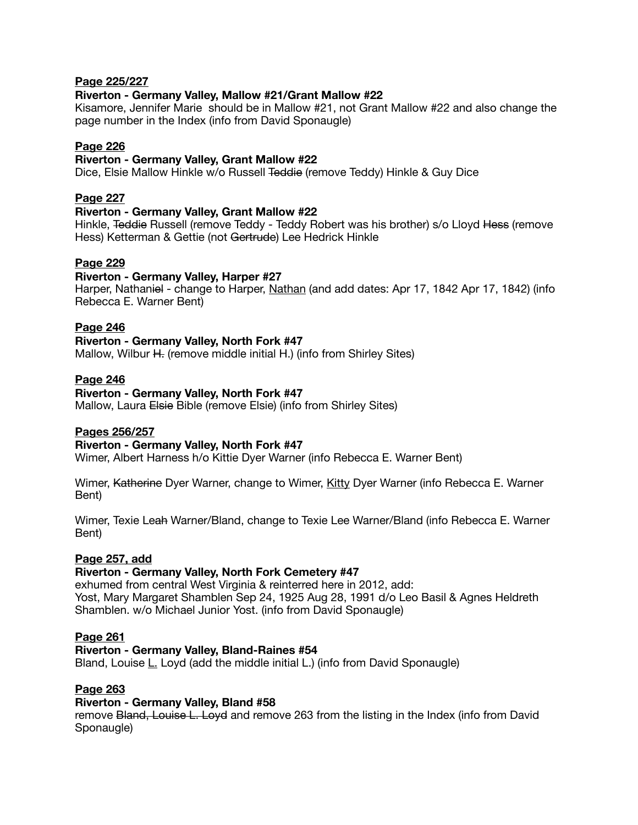## **Page 225/227**

## **Riverton - Germany Valley, Mallow #21/Grant Mallow #22**

Kisamore, Jennifer Marie should be in Mallow #21, not Grant Mallow #22 and also change the page number in the Index (info from David Sponaugle)

## **Page 226**

## **Riverton - Germany Valley, Grant Mallow #22**

Dice, Elsie Mallow Hinkle w/o Russell Teddie (remove Teddy) Hinkle & Guy Dice

## **Page 227**

## **Riverton - Germany Valley, Grant Mallow #22**

Hinkle, Teddie Russell (remove Teddy - Teddy Robert was his brother) s/o Lloyd Hess (remove Hess) Ketterman & Gettie (not Gertrude) Lee Hedrick Hinkle

## **Page 229**

#### **Riverton - Germany Valley, Harper #27**

Harper, Nathaniel - change to Harper, Nathan (and add dates: Apr 17, 1842 Apr 17, 1842) (info Rebecca E. Warner Bent)

## **Page 246**

# **Riverton - Germany Valley, North Fork #47**

Mallow, Wilbur H. (remove middle initial H.) (info from Shirley Sites)

## **Page 246**

## **Riverton - Germany Valley, North Fork #47**

Mallow, Laura Elsie Bible (remove Elsie) (info from Shirley Sites)

# **Pages 256/257**

## **Riverton - Germany Valley, North Fork #47**

Wimer, Albert Harness h/o Kittie Dyer Warner (info Rebecca E. Warner Bent)

Wimer, Katherine Dyer Warner, change to Wimer, Kitty Dyer Warner (info Rebecca E. Warner Bent)

Wimer, Texie Leah Warner/Bland, change to Texie Lee Warner/Bland (info Rebecca E. Warner Bent)

## **Page 257, add**

## **Riverton - Germany Valley, North Fork Cemetery #47**

exhumed from central West Virginia & reinterred here in 2012, add: Yost, Mary Margaret Shamblen Sep 24, 1925 Aug 28, 1991 d/o Leo Basil & Agnes Heldreth Shamblen. w/o Michael Junior Yost. (info from David Sponaugle)

## **Page 261**

## **Riverton - Germany Valley, Bland-Raines #54**

Bland, Louise L. Loyd (add the middle initial L.) (info from David Sponaugle)

## **Page 263**

## **Riverton - Germany Valley, Bland #58**

remove Bland, Louise L. Loyd and remove 263 from the listing in the Index (info from David Sponaugle)